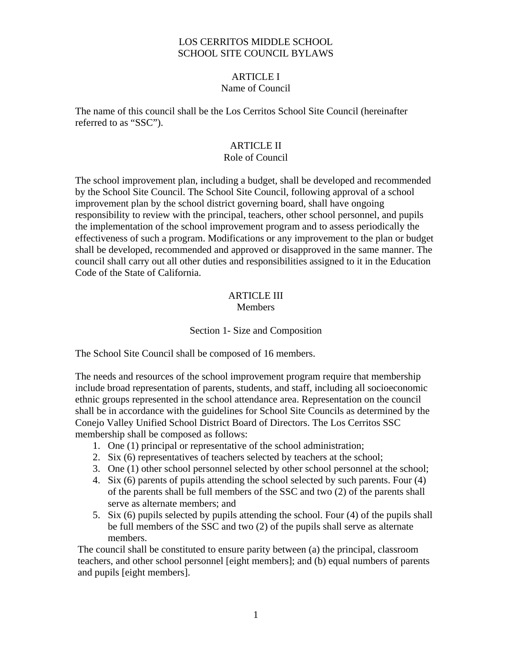#### LOS CERRITOS MIDDLE SCHOOL SCHOOL SITE COUNCIL BYLAWS

## ARTICLE I

## Name of Council

The name of this council shall be the Los Cerritos School Site Council (hereinafter referred to as "SSC").

## ARTICLE II

## Role of Council

The school improvement plan, including a budget, shall be developed and recommended by the School Site Council. The School Site Council, following approval of a school improvement plan by the school district governing board, shall have ongoing responsibility to review with the principal, teachers, other school personnel, and pupils the implementation of the school improvement program and to assess periodically the effectiveness of such a program. Modifications or any improvement to the plan or budget shall be developed, recommended and approved or disapproved in the same manner. The council shall carry out all other duties and responsibilities assigned to it in the Education Code of the State of California.

# ARTICLE III

## **Members**

## Section 1- Size and Composition

The School Site Council shall be composed of 16 members.

The needs and resources of the school improvement program require that membership include broad representation of parents, students, and staff, including all socioeconomic ethnic groups represented in the school attendance area. Representation on the council shall be in accordance with the guidelines for School Site Councils as determined by the Conejo Valley Unified School District Board of Directors. The Los Cerritos SSC membership shall be composed as follows:

- 1. One (1) principal or representative of the school administration;
- 2. Six (6) representatives of teachers selected by teachers at the school;
- 3. One (1) other school personnel selected by other school personnel at the school;
- 4. Six (6) parents of pupils attending the school selected by such parents. Four (4) of the parents shall be full members of the SSC and two (2) of the parents shall serve as alternate members; and
- 5. Six (6) pupils selected by pupils attending the school. Four (4) of the pupils shall be full members of the SSC and two (2) of the pupils shall serve as alternate members.

The council shall be constituted to ensure parity between (a) the principal, classroom teachers, and other school personnel [eight members]; and (b) equal numbers of parents and pupils [eight members].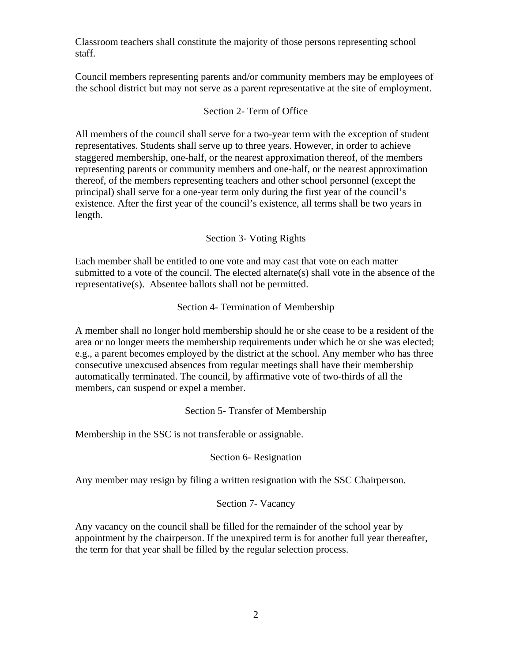Classroom teachers shall constitute the majority of those persons representing school staff.

Council members representing parents and/or community members may be employees of the school district but may not serve as a parent representative at the site of employment.

#### Section 2- Term of Office

All members of the council shall serve for a two-year term with the exception of student representatives. Students shall serve up to three years. However, in order to achieve staggered membership, one-half, or the nearest approximation thereof, of the members representing parents or community members and one-half, or the nearest approximation thereof, of the members representing teachers and other school personnel (except the principal) shall serve for a one-year term only during the first year of the council's existence. After the first year of the council's existence, all terms shall be two years in length.

## Section 3- Voting Rights

Each member shall be entitled to one vote and may cast that vote on each matter submitted to a vote of the council. The elected alternate(s) shall vote in the absence of the representative(s). Absentee ballots shall not be permitted.

## Section 4- Termination of Membership

A member shall no longer hold membership should he or she cease to be a resident of the area or no longer meets the membership requirements under which he or she was elected; e.g., a parent becomes employed by the district at the school. Any member who has three consecutive unexcused absences from regular meetings shall have their membership automatically terminated. The council, by affirmative vote of two-thirds of all the members, can suspend or expel a member.

#### Section 5- Transfer of Membership

Membership in the SSC is not transferable or assignable.

#### Section 6- Resignation

Any member may resign by filing a written resignation with the SSC Chairperson.

#### Section 7- Vacancy

Any vacancy on the council shall be filled for the remainder of the school year by appointment by the chairperson. If the unexpired term is for another full year thereafter, the term for that year shall be filled by the regular selection process.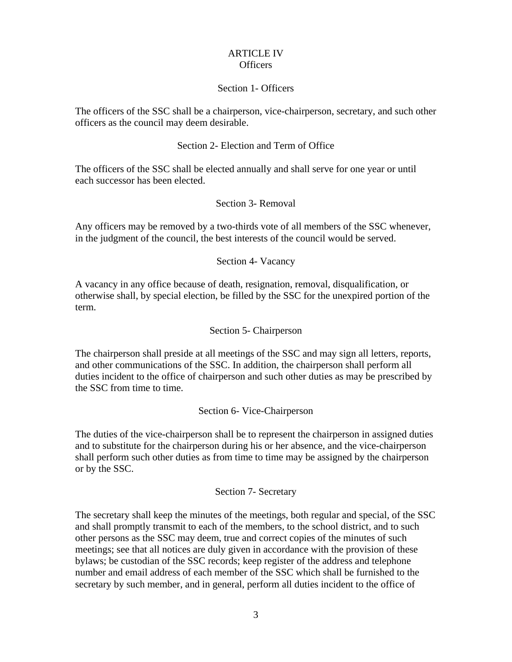#### ARTICLE IV Officers

#### Section 1- Officers

The officers of the SSC shall be a chairperson, vice-chairperson, secretary, and such other officers as the council may deem desirable.

## Section 2- Election and Term of Office

The officers of the SSC shall be elected annually and shall serve for one year or until each successor has been elected.

#### Section 3- Removal

Any officers may be removed by a two-thirds vote of all members of the SSC whenever, in the judgment of the council, the best interests of the council would be served.

#### Section 4- Vacancy

A vacancy in any office because of death, resignation, removal, disqualification, or otherwise shall, by special election, be filled by the SSC for the unexpired portion of the term.

#### Section 5- Chairperson

The chairperson shall preside at all meetings of the SSC and may sign all letters, reports, and other communications of the SSC. In addition, the chairperson shall perform all duties incident to the office of chairperson and such other duties as may be prescribed by the SSC from time to time.

#### Section 6- Vice-Chairperson

The duties of the vice-chairperson shall be to represent the chairperson in assigned duties and to substitute for the chairperson during his or her absence, and the vice-chairperson shall perform such other duties as from time to time may be assigned by the chairperson or by the SSC.

#### Section 7- Secretary

The secretary shall keep the minutes of the meetings, both regular and special, of the SSC and shall promptly transmit to each of the members, to the school district, and to such other persons as the SSC may deem, true and correct copies of the minutes of such meetings; see that all notices are duly given in accordance with the provision of these bylaws; be custodian of the SSC records; keep register of the address and telephone number and email address of each member of the SSC which shall be furnished to the secretary by such member, and in general, perform all duties incident to the office of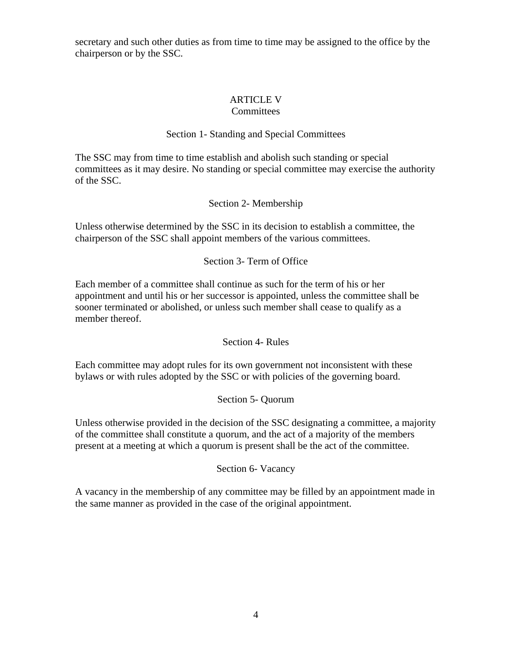secretary and such other duties as from time to time may be assigned to the office by the chairperson or by the SSC.

#### ARTICLE V **Committees**

## Section 1- Standing and Special Committees

The SSC may from time to time establish and abolish such standing or special committees as it may desire. No standing or special committee may exercise the authority of the SSC.

## Section 2- Membership

Unless otherwise determined by the SSC in its decision to establish a committee, the chairperson of the SSC shall appoint members of the various committees.

## Section 3- Term of Office

Each member of a committee shall continue as such for the term of his or her appointment and until his or her successor is appointed, unless the committee shall be sooner terminated or abolished, or unless such member shall cease to qualify as a member thereof.

Section 4- Rules

Each committee may adopt rules for its own government not inconsistent with these bylaws or with rules adopted by the SSC or with policies of the governing board.

#### Section 5- Quorum

Unless otherwise provided in the decision of the SSC designating a committee, a majority of the committee shall constitute a quorum, and the act of a majority of the members present at a meeting at which a quorum is present shall be the act of the committee.

#### Section 6- Vacancy

A vacancy in the membership of any committee may be filled by an appointment made in the same manner as provided in the case of the original appointment.